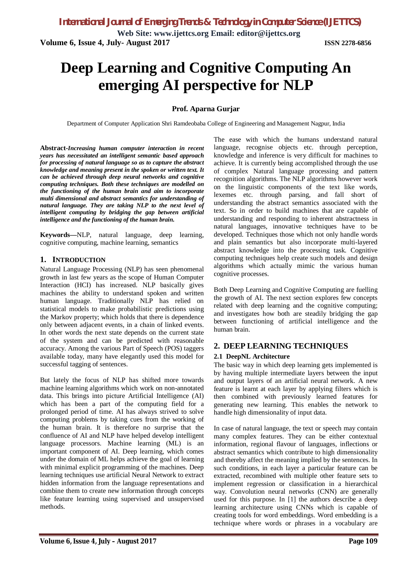**Web Site: www.ijettcs.org Email: editor@ijettcs.org Volume 6, Issue 4, July- August 2017 ISSN 2278-6856**

# **Deep Learning and Cognitive Computing An emerging AI perspective for NLP**

# **Prof. Aparna Gurjar**

Department of Computer Application Shri Ramdeobaba College of Engineering and Management Nagpur, India

**Abstract***-Increasing human computer interaction in recent years has necessitated an intelligent semantic based approach for processing of natural language so as to capture the abstract knowledge and meaning present in the spoken or written text. It can be achieved through deep neural networks and cognitive computing techniques. Both these techniques are modelled on the functioning of the human brain and aim to incorporate multi dimensional and abstract semantics for understanding of natural language. They are taking NLP to the next level of intelligent computing by bridging the gap between artificial intelligence and the functioning of the human brain.*

**Keywords—**NLP, natural language, deep learning, cognitive computing, machine learning, semantics

# **1. INTRODUCTION**

Natural Language Processing (NLP) has seen phenomenal growth in last few years as the scope of Human Computer Interaction (HCI) has increased. NLP basically gives machines the ability to understand spoken and written human language. Traditionally NLP has relied on statistical models to make probabilistic predictions using the Markov property; which holds that there is dependence only between adjacent events, in a chain of linked events. In other words the next state depends on the current state of the system and can be predicted with reasonable accuracy. Among the various Part of Speech (POS) taggers available today, many have elegantly used this model for successful tagging of sentences.

But lately the focus of NLP has shifted more towards machine learning algorithms which work on non-annotated data. This brings into picture Artificial Intelligence (AI) which has been a part of the computing field for a prolonged period of time. AI has always strived to solve computing problems by taking cues from the working of the human brain. It is therefore no surprise that the confluence of AI and NLP have helped develop intelligent language processors. Machine learning (ML) is an important component of AI. Deep learning, which comes under the domain of ML helps achieve the goal of learning with minimal explicit programming of the machines. Deep learning techniques use artificial Neural Network to extract hidden information from the language representations and combine them to create new information through concepts like feature learning using supervised and unsupervised methods.

The ease with which the humans understand natural language, recognise objects etc. through perception, knowledge and inference is very difficult for machines to achieve. It is currently being accomplished through the use of complex Natural language processing and pattern recognition algorithms. The NLP algorithms however work on the linguistic components of the text like words, lexemes etc. through parsing, and fall short of understanding the abstract semantics associated with the text. So in order to build machines that are capable of understanding and responding to inherent abstractness in natural languages, innovative techniques have to be developed. Techniques those which not only handle words and plain semantics but also incorporate multi-layered abstract knowledge into the processing task. Cognitive computing techniques help create such models and design algorithms which actually mimic the various human cognitive processes.

Both Deep Learning and Cognitive Computing are fuelling the growth of AI. The next section explores few concepts related with deep learning and the cognitive computing; and investigates how both are steadily bridging the gap between functioning of artificial intelligence and the human brain.

# **2. DEEP LEARNING TECHNIQUES**

# **2.1 DeepNL Architecture**

The basic way in which deep learning gets implemented is by having multiple intermediate layers between the input and output layers of an artificial neural network. A new feature is learnt at each layer by applying filters which is then combined with previously learned features for generating new learning. This enables the network to handle high dimensionality of input data.

In case of natural language, the text or speech may contain many complex features. They can be either contextual information, regional flavour of languages, inflections or abstract semantics which contribute to high dimensionality and thereby affect the meaning implied by the sentences. In such conditions, in each layer a particular feature can be extracted, recombined with multiple other feature sets to implement regression or classification in a hierarchical way. Convolution neural networks (CNN) are generally used for this purpose. In [1] the authors describe a deep learning architecture using CNNs which is capable of creating tools for word embeddings. Word embedding is a technique where words or phrases in a vocabulary are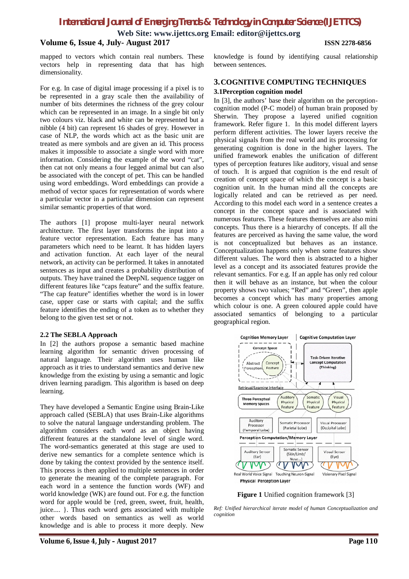# *International Journal of Emerging Trends & Technology in Computer Science (IJETTCS)*

**Web Site: www.ijettcs.org Email: editor@ijettcs.org**

# **Volume 6, Issue 4, July- August 2017 ISSN 2278-6856**

mapped to vectors which contain real numbers. These vectors help in representing data that has high dimensionality.

For e.g. In case of digital image processing if a pixel is to be represented in a gray scale then the availability of number of bits determines the richness of the grey colour which can be represented in an image. In a single bit only two colours viz. black and white can be represented but a nibble (4 bit) can represent 16 shades of grey. However in case of NLP, the words which act as the basic unit are treated as mere symbols and are given an id. This process makes it impossible to associate a single word with more information. Considering the example of the word "cat", then cat not only means a four legged animal but can also be associated with the concept of pet. This can be handled using word embeddings. Word embeddings can provide a method of vector spaces for representation of words where a particular vector in a particular dimension can represent similar semantic properties of that word.

The authors [1] propose multi-layer neural network architecture. The first layer transforms the input into a feature vector representation. Each feature has many parameters which need to be learnt. It has hidden layers and activation function. At each layer of the neural network, an activity can be performed. It takes in annotated sentences as input and creates a probability distribution of outputs. They have trained the DeepNL sequence tagger on different features like "caps feature" and the suffix feature. "The cap feature" identifies whether the word is in lower case, upper case or starts with capital; and the suffix feature identifies the ending of a token as to whether they belong to the given test set or not.

### **2.2 The SEBLA Approach**

In [2] the authors propose a semantic based machine learning algorithm for semantic driven processing of natural language. Their algorithm uses human like approach as it tries to understand semantics and derive new knowledge from the existing by using a semantic and logic driven learning paradigm. This algorithm is based on deep learning.

They have developed a Semantic Engine using Brain-Like approach called (SEBLA) that uses Brain-Like algorithms to solve the natural language understanding problem. The algorithm considers each word as an object having different features at the standalone level of single word. The word-semantics generated at this stage are used to derive new semantics for a complete sentence which is done by taking the context provided by the sentence itself. This process is then applied to multiple sentences in order to generate the meaning of the complete paragraph. For each word in a sentence the function words (WF) and world knowledge (WK) are found out. For e.g. the function word for apple would be {red, green, sweet, fruit, health, juice.... }. Thus each word gets associated with multiple other words based on semantics as well as world knowledge and is able to process it more deeply. New

knowledge is found by identifying causal relationship between sentences.

# **3.COGNITIVE COMPUTING TECHNIQUES**

#### **3.1Perception cognition model**

In [3], the authors' base their algorithm on the perceptioncognition model (P-C model) of human brain proposed by Sherwin. They propose a layered unified cognition framework. Refer figure 1. In this model different layers perform different activities. The lower layers receive the physical signals from the real world and its processing for generating cognition is done in the higher layers. The unified framework enables the unification of different types of perception features like auditory, visual and sense of touch. It is argued that cognition is the end result of creation of concept space of which the concept is a basic cognition unit. In the human mind all the concepts are logically related and can be retrieved as per need. According to this model each word in a sentence creates a concept in the concept space and is associated with numerous features. These features themselves are also mini concepts. Thus there is a hierarchy of concepts. If all the features are perceived as having the same value, the word is not conceptualized but behaves as an instance. Conceptualization happens only when some features show different values. The word then is abstracted to a higher level as a concept and its associated features provide the relevant semantics. For e.g. If an apple has only red colour then it will behave as an instance, but when the colour property shows two values; "Red" and "Green", then apple becomes a concept which has many properties among which colour is one. A green coloured apple could have associated semantics of belonging to a particular geographical region.



**Figure 1** Unified cognition framework [3]

*Ref: Unified hierarchical iterate model of human Conceptualization and cognition*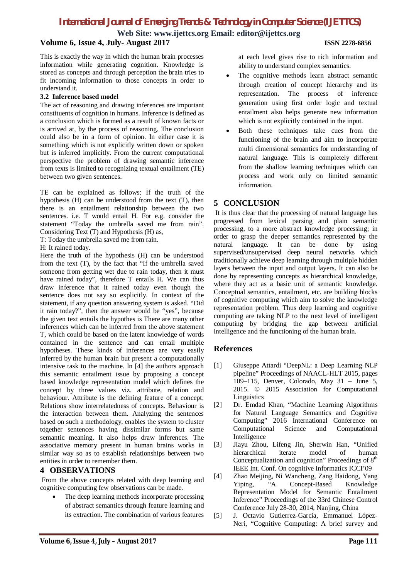# *International Journal of Emerging Trends & Technology in Computer Science (IJETTCS)*

**Web Site: www.ijettcs.org Email: editor@ijettcs.org Volume 6, Issue 4, July- August 2017 ISSN 2278-6856**

This is exactly the way in which the human brain processes information while generating cognition. Knowledge is stored as concepts and through perception the brain tries to fit incoming information to those concepts in order to understand it.

### **3.2 Inference based model**

The act of reasoning and drawing inferences are important constituents of cognition in humans. Inference is defined as a conclusion which is formed as a result of known facts or is arrived at, by the process of reasoning. The conclusion could also be in a form of opinion. In either case it is something which is not explicitly written down or spoken but is inferred implicitly. From the current computational perspective the problem of drawing semantic inference from texts is limited to recognizing textual entailment (TE) between two given sentences.

TE can be explained as follows: If the truth of the hypothesis (H) can be understood from the text (T), then there is an entailment relationship between the two sentences. i.e. T would entail H. For e.g. consider the statement "Today the umbrella saved me from rain". Considering Text (T) and Hypothesis (H) as,

T: Today the umbrella saved me from rain.

### H: It rained today.

Here the truth of the hypothesis (H) can be understood from the text (T), by the fact that "If the umbrella saved someone from getting wet due to rain today, then it must have rained today", therefore T entails H. We can thus draw inference that it rained today even though the sentence does not say so explicitly. In context of the statement, if any question answering system is asked. "Did it rain today?", then the answer would be "yes", because the given text entails the hypothes is There are many other inferences which can be inferred from the above statement T, which could be based on the latent knowledge of words contained in the sentence and can entail multiple hypotheses. These kinds of inferences are very easily inferred by the human brain but present a computationally intensive task to the machine. In [4] the authors approach this semantic entailment issue by proposing a concept based knowledge representation model which defines the concept by three values viz. attribute, relation and behaviour. Attribute is the defining feature of a concept. Relations show interrelatedness of concepts. Behaviour is the interaction between them. Analyzing the sentences based on such a methodology, enables the system to cluster together sentences having dissimilar forms but same semantic meaning. It also helps draw inferences. The associative memory present in human brains works in similar way so as to establish relationships between two entities in order to remember them.

# **4 OBSERVATIONS**

From the above concepts related with deep learning and cognitive computing few observations can be made.

 The deep learning methods incorporate processing of abstract semantics through feature learning and its extraction. The combination of various features

at each level gives rise to rich information and ability to understand complex semantics.

- The cognitive methods learn abstract semantic through creation of concept hierarchy and its representation. The process of inference generation using first order logic and textual entailment also helps generate new information which is not explicitly contained in the input.
- Both these techniques take cues from the functioning of the brain and aim to incorporate multi dimensional semantics for understanding of natural language. This is completely different from the shallow learning techniques which can process and work only on limited semantic information.

# **5 CONCLUSION**

It is thus clear that the processing of natural language has progressed from lexical parsing and plain semantic processing, to a more abstract knowledge processing; in order to grasp the deeper semantics represented by the natural language. It can be done by using supervised/unsupervised deep neural networks which traditionally achieve deep learning through multiple hidden layers between the input and output layers. It can also be done by representing concepts as hierarchical knowledge, where they act as a basic unit of semantic knowledge. Conceptual semantics, entailment, etc. are building blocks of cognitive computing which aim to solve the knowledge representation problem. Thus deep learning and cognitive computing are taking NLP to the next level of intelligent computing by bridging the gap between artificial intelligence and the functioning of the human brain.

# **References**

- [1] Giuseppe Attardi "DeepNL: a Deep Learning NLP pipeline" Proceedings of NAACL-HLT 2015, pages 109–115, Denver, Colorado, May 31 – June 5, 2015. © 2015 Association for Computational **Linguistics**
- [2] Dr. Emdad Khan, "Machine Learning Algorithms for Natural Language Semantics and Cognitive Computing" 2016 International Conference on Computational Science and Computational Intelligence
- [3] Jiayu Zhou, Lifeng Jin, Sherwin Han, "Unified hierarchical iterate model of human Conceptualization and cognition" Proceedings of  $8<sup>th</sup>$ IEEE Int. Conf. On cognitive Informatics ICCI'09
- [4] Zhao Meijing, Ni Wancheng, Zang Haidong, Yang Yiping, "A Concept-Based Knowledge Representation Model for Semantic Entailment Inference" Proceedings of the 33rd Chinese Control Conference July 28-30, 2014, Nanjing, China
- [5] J. Octavio Gutierrez-Garcia, Emmanuel López-Neri, "Cognitive Computing: A brief survey and